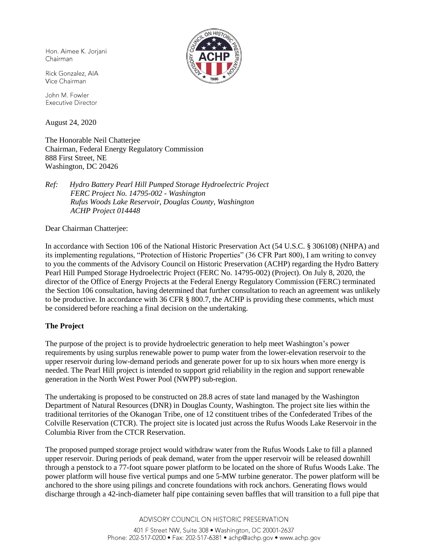Hon. Aimee K. Jorjani Chairman

Rick Gonzalez, AIA Vice Chairman

John M. Fowler Executive Director

August 24, 2020

The Honorable Neil Chatterjee Chairman, Federal Energy Regulatory Commission 888 First Street, NE Washington, DC 20426

### *Ref: Hydro Battery Pearl Hill Pumped Storage Hydroelectric Project FERC Project No. 14795-002 - Washington Rufus Woods Lake Reservoir, Douglas County, Washington ACHP Project 014448*

Dear Chairman Chatterjee:

In accordance with Section 106 of the National Historic Preservation Act (54 U.S.C. § 306108) (NHPA) and its implementing regulations, "Protection of Historic Properties" (36 CFR Part 800), I am writing to convey to you the comments of the Advisory Council on Historic Preservation (ACHP) regarding the Hydro Battery Pearl Hill Pumped Storage Hydroelectric Project (FERC No. 14795-002) (Project). On July 8, 2020, the director of the Office of Energy Projects at the Federal Energy Regulatory Commission (FERC) terminated the Section 106 consultation, having determined that further consultation to reach an agreement was unlikely to be productive. In accordance with 36 CFR § 800.7, the ACHP is providing these comments, which must be considered before reaching a final decision on the undertaking.

# **The Project**

The purpose of the project is to provide hydroelectric generation to help meet Washington's power requirements by using surplus renewable power to pump water from the lower-elevation reservoir to the upper reservoir during low-demand periods and generate power for up to six hours when more energy is needed. The Pearl Hill project is intended to support grid reliability in the region and support renewable generation in the North West Power Pool (NWPP) sub-region.

The undertaking is proposed to be constructed on 28.8 acres of state land managed by the Washington Department of Natural Resources (DNR) in Douglas County, Washington. The project site lies within the traditional territories of the Okanogan Tribe, one of 12 constituent tribes of the Confederated Tribes of the Colville Reservation (CTCR). The project site is located just across the Rufus Woods Lake Reservoir in the Columbia River from the CTCR Reservation.

The proposed pumped storage project would withdraw water from the Rufus Woods Lake to fill a planned upper reservoir. During periods of peak demand, water from the upper reservoir will be released downhill through a penstock to a 77-foot square power platform to be located on the shore of Rufus Woods Lake. The power platform will house five vertical pumps and one 5-MW turbine generator. The power platform will be anchored to the shore using pilings and concrete foundations with rock anchors. Generating flows would discharge through a 42-inch-diameter half pipe containing seven baffles that will transition to a full pipe that

ADVISORY COUNCIL ON HISTORIC PRESERVATION

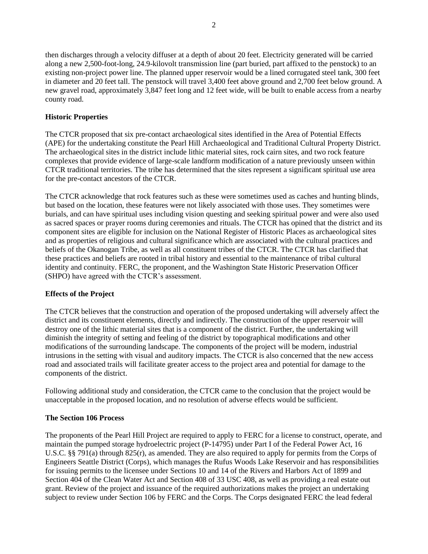then discharges through a velocity diffuser at a depth of about 20 feet. Electricity generated will be carried along a new 2,500-foot-long, 24.9-kilovolt transmission line (part buried, part affixed to the penstock) to an existing non-project power line. The planned upper reservoir would be a lined corrugated steel tank, 300 feet in diameter and 20 feet tall. The penstock will travel 3,400 feet above ground and 2,700 feet below ground. A new gravel road, approximately 3,847 feet long and 12 feet wide, will be built to enable access from a nearby county road.

# **Historic Properties**

The CTCR proposed that six pre-contact archaeological sites identified in the Area of Potential Effects (APE) for the undertaking constitute the Pearl Hill Archaeological and Traditional Cultural Property District. The archaeological sites in the district include lithic material sites, rock cairn sites, and two rock feature complexes that provide evidence of large-scale landform modification of a nature previously unseen within CTCR traditional territories. The tribe has determined that the sites represent a significant spiritual use area for the pre-contact ancestors of the CTCR.

The CTCR acknowledge that rock features such as these were sometimes used as caches and hunting blinds, but based on the location, these features were not likely associated with those uses. They sometimes were burials, and can have spiritual uses including vision questing and seeking spiritual power and were also used as sacred spaces or prayer rooms during ceremonies and rituals. The CTCR has opined that the district and its component sites are eligible for inclusion on the National Register of Historic Places as archaeological sites and as properties of religious and cultural significance which are associated with the cultural practices and beliefs of the Okanogan Tribe, as well as all constituent tribes of the CTCR. The CTCR has clarified that these practices and beliefs are rooted in tribal history and essential to the maintenance of tribal cultural identity and continuity. FERC, the proponent, and the Washington State Historic Preservation Officer (SHPO) have agreed with the CTCR's assessment.

### **Effects of the Project**

The CTCR believes that the construction and operation of the proposed undertaking will adversely affect the district and its constituent elements, directly and indirectly. The construction of the upper reservoir will destroy one of the lithic material sites that is a component of the district. Further, the undertaking will diminish the integrity of setting and feeling of the district by topographical modifications and other modifications of the surrounding landscape. The components of the project will be modern, industrial intrusions in the setting with visual and auditory impacts. The CTCR is also concerned that the new access road and associated trails will facilitate greater access to the project area and potential for damage to the components of the district.

Following additional study and consideration, the CTCR came to the conclusion that the project would be unacceptable in the proposed location, and no resolution of adverse effects would be sufficient.

### **The Section 106 Process**

The proponents of the Pearl Hill Project are required to apply to FERC for a license to construct, operate, and maintain the pumped storage hydroelectric project (P-14795) under Part I of the Federal Power Act, 16 U.S.C. §§ 791(a) through 825(r), as amended. They are also required to apply for permits from the Corps of Engineers Seattle District (Corps), which manages the Rufus Woods Lake Reservoir and has responsibilities for issuing permits to the licensee under Sections 10 and 14 of the Rivers and Harbors Act of 1899 and Section 404 of the Clean Water Act and Section 408 of 33 USC 408, as well as providing a real estate out grant. Review of the project and issuance of the required authorizations makes the project an undertaking subject to review under Section 106 by FERC and the Corps. The Corps designated FERC the lead federal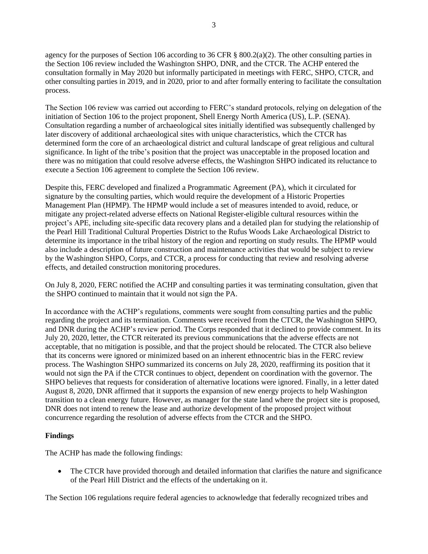agency for the purposes of Section 106 according to 36 CFR  $\S 800.2(a)(2)$ . The other consulting parties in the Section 106 review included the Washington SHPO, DNR, and the CTCR. The ACHP entered the consultation formally in May 2020 but informally participated in meetings with FERC, SHPO, CTCR, and other consulting parties in 2019, and in 2020, prior to and after formally entering to facilitate the consultation process.

The Section 106 review was carried out according to FERC's standard protocols, relying on delegation of the initiation of Section 106 to the project proponent, Shell Energy North America (US), L.P. (SENA). Consultation regarding a number of archaeological sites initially identified was subsequently challenged by later discovery of additional archaeological sites with unique characteristics, which the CTCR has determined form the core of an archaeological district and cultural landscape of great religious and cultural significance. In light of the tribe's position that the project was unacceptable in the proposed location and there was no mitigation that could resolve adverse effects, the Washington SHPO indicated its reluctance to execute a Section 106 agreement to complete the Section 106 review.

Despite this, FERC developed and finalized a Programmatic Agreement (PA), which it circulated for signature by the consulting parties, which would require the development of a Historic Properties Management Plan (HPMP). The HPMP would include a set of measures intended to avoid, reduce, or mitigate any project-related adverse effects on National Register-eligible cultural resources within the project's APE, including site-specific data recovery plans and a detailed plan for studying the relationship of the Pearl Hill Traditional Cultural Properties District to the Rufus Woods Lake Archaeological District to determine its importance in the tribal history of the region and reporting on study results. The HPMP would also include a description of future construction and maintenance activities that would be subject to review by the Washington SHPO, Corps, and CTCR, a process for conducting that review and resolving adverse effects, and detailed construction monitoring procedures.

On July 8, 2020, FERC notified the ACHP and consulting parties it was terminating consultation, given that the SHPO continued to maintain that it would not sign the PA.

In accordance with the ACHP's regulations, comments were sought from consulting parties and the public regarding the project and its termination. Comments were received from the CTCR, the Washington SHPO, and DNR during the ACHP's review period. The Corps responded that it declined to provide comment. In its July 20, 2020, letter, the CTCR reiterated its previous communications that the adverse effects are not acceptable, that no mitigation is possible, and that the project should be relocated. The CTCR also believe that its concerns were ignored or minimized based on an inherent ethnocentric bias in the FERC review process. The Washington SHPO summarized its concerns on July 28, 2020, reaffirming its position that it would not sign the PA if the CTCR continues to object, dependent on coordination with the governor. The SHPO believes that requests for consideration of alternative locations were ignored. Finally, in a letter dated August 8, 2020, DNR affirmed that it supports the expansion of new energy projects to help Washington transition to a clean energy future. However, as manager for the state land where the project site is proposed, DNR does not intend to renew the lease and authorize development of the proposed project without concurrence regarding the resolution of adverse effects from the CTCR and the SHPO.

# **Findings**

The ACHP has made the following findings:

• The CTCR have provided thorough and detailed information that clarifies the nature and significance of the Pearl Hill District and the effects of the undertaking on it.

The Section 106 regulations require federal agencies to acknowledge that federally recognized tribes and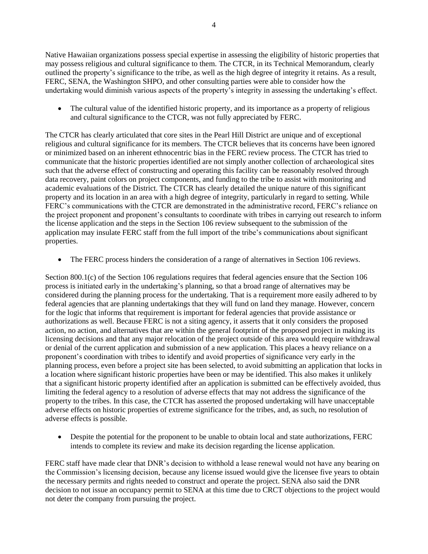Native Hawaiian organizations possess special expertise in assessing the eligibility of historic properties that may possess religious and cultural significance to them. The CTCR, in its Technical Memorandum, clearly outlined the property's significance to the tribe, as well as the high degree of integrity it retains. As a result, FERC, SENA, the Washington SHPO, and other consulting parties were able to consider how the undertaking would diminish various aspects of the property's integrity in assessing the undertaking's effect.

 The cultural value of the identified historic property, and its importance as a property of religious and cultural significance to the CTCR, was not fully appreciated by FERC.

The CTCR has clearly articulated that core sites in the Pearl Hill District are unique and of exceptional religious and cultural significance for its members. The CTCR believes that its concerns have been ignored or minimized based on an inherent ethnocentric bias in the FERC review process. The CTCR has tried to communicate that the historic properties identified are not simply another collection of archaeological sites such that the adverse effect of constructing and operating this facility can be reasonably resolved through data recovery, paint colors on project components, and funding to the tribe to assist with monitoring and academic evaluations of the District. The CTCR has clearly detailed the unique nature of this significant property and its location in an area with a high degree of integrity, particularly in regard to setting. While FERC's communications with the CTCR are demonstrated in the administrative record, FERC's reliance on the project proponent and proponent's consultants to coordinate with tribes in carrying out research to inform the license application and the steps in the Section 106 review subsequent to the submission of the application may insulate FERC staff from the full import of the tribe's communications about significant properties.

The FERC process hinders the consideration of a range of alternatives in Section 106 reviews.

Section 800.1(c) of the Section 106 regulations requires that federal agencies ensure that the Section 106 process is initiated early in the undertaking's planning, so that a broad range of alternatives may be considered during the planning process for the undertaking. That is a requirement more easily adhered to by federal agencies that are planning undertakings that they will fund on land they manage. However, concern for the logic that informs that requirement is important for federal agencies that provide assistance or authorizations as well. Because FERC is not a siting agency, it asserts that it only considers the proposed action, no action, and alternatives that are within the general footprint of the proposed project in making its licensing decisions and that any major relocation of the project outside of this area would require withdrawal or denial of the current application and submission of a new application. This places a heavy reliance on a proponent's coordination with tribes to identify and avoid properties of significance very early in the planning process, even before a project site has been selected, to avoid submitting an application that locks in a location where significant historic properties have been or may be identified. This also makes it unlikely that a significant historic property identified after an application is submitted can be effectively avoided, thus limiting the federal agency to a resolution of adverse effects that may not address the significance of the property to the tribes. In this case, the CTCR has asserted the proposed undertaking will have unacceptable adverse effects on historic properties of extreme significance for the tribes, and, as such, no resolution of adverse effects is possible.

 Despite the potential for the proponent to be unable to obtain local and state authorizations, FERC intends to complete its review and make its decision regarding the license application.

FERC staff have made clear that DNR's decision to withhold a lease renewal would not have any bearing on the Commission's licensing decision, because any license issued would give the licensee five years to obtain the necessary permits and rights needed to construct and operate the project. SENA also said the DNR decision to not issue an occupancy permit to SENA at this time due to CRCT objections to the project would not deter the company from pursuing the project.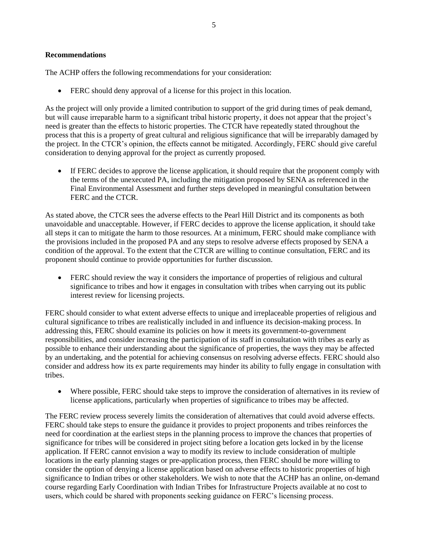#### **Recommendations**

The ACHP offers the following recommendations for your consideration:

FERC should deny approval of a license for this project in this location.

As the project will only provide a limited contribution to support of the grid during times of peak demand, but will cause irreparable harm to a significant tribal historic property, it does not appear that the project's need is greater than the effects to historic properties. The CTCR have repeatedly stated throughout the process that this is a property of great cultural and religious significance that will be irreparably damaged by the project. In the CTCR's opinion, the effects cannot be mitigated. Accordingly, FERC should give careful consideration to denying approval for the project as currently proposed.

 If FERC decides to approve the license application, it should require that the proponent comply with the terms of the unexecuted PA, including the mitigation proposed by SENA as referenced in the Final Environmental Assessment and further steps developed in meaningful consultation between FERC and the CTCR.

As stated above, the CTCR sees the adverse effects to the Pearl Hill District and its components as both unavoidable and unacceptable. However, if FERC decides to approve the license application, it should take all steps it can to mitigate the harm to those resources. At a minimum, FERC should make compliance with the provisions included in the proposed PA and any steps to resolve adverse effects proposed by SENA a condition of the approval. To the extent that the CTCR are willing to continue consultation, FERC and its proponent should continue to provide opportunities for further discussion.

 FERC should review the way it considers the importance of properties of religious and cultural significance to tribes and how it engages in consultation with tribes when carrying out its public interest review for licensing projects.

FERC should consider to what extent adverse effects to unique and irreplaceable properties of religious and cultural significance to tribes are realistically included in and influence its decision-making process. In addressing this, FERC should examine its policies on how it meets its government-to-government responsibilities, and consider increasing the participation of its staff in consultation with tribes as early as possible to enhance their understanding about the significance of properties, the ways they may be affected by an undertaking, and the potential for achieving consensus on resolving adverse effects. FERC should also consider and address how its ex parte requirements may hinder its ability to fully engage in consultation with tribes.

 Where possible, FERC should take steps to improve the consideration of alternatives in its review of license applications, particularly when properties of significance to tribes may be affected.

The FERC review process severely limits the consideration of alternatives that could avoid adverse effects. FERC should take steps to ensure the guidance it provides to project proponents and tribes reinforces the need for coordination at the earliest steps in the planning process to improve the chances that properties of significance for tribes will be considered in project siting before a location gets locked in by the license application. If FERC cannot envision a way to modify its review to include consideration of multiple locations in the early planning stages or pre-application process, then FERC should be more willing to consider the option of denying a license application based on adverse effects to historic properties of high significance to Indian tribes or other stakeholders. We wish to note that the ACHP has an online, on-demand course regarding Early Coordination with Indian Tribes for Infrastructure Projects available at no cost to users, which could be shared with proponents seeking guidance on FERC's licensing process.